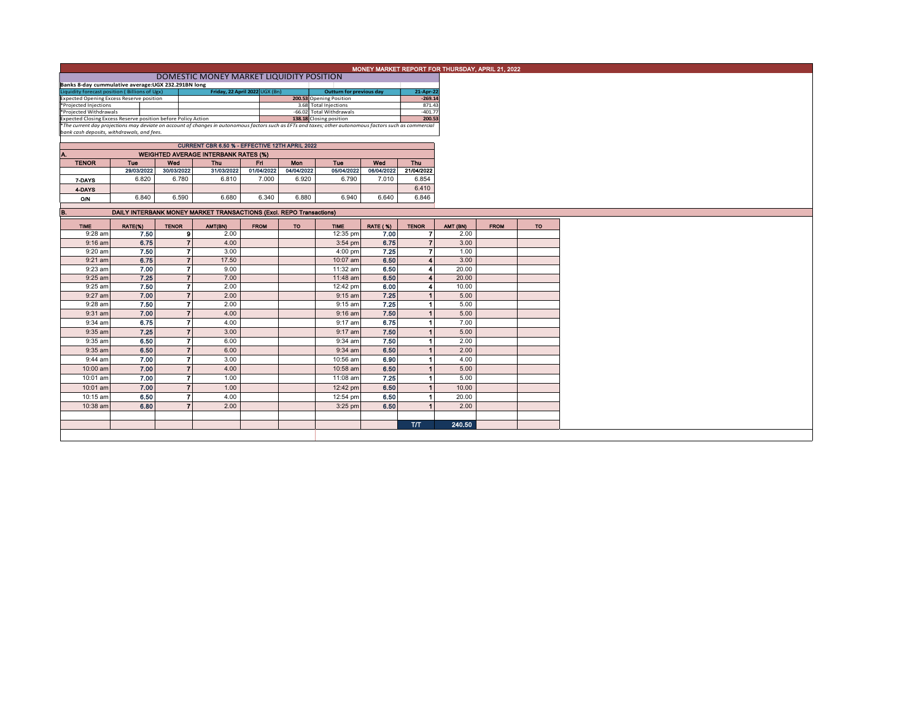|                                                                                                                                                          |                                          |                   |                                                                     |             |                         |                          |                                 |                                | MONEY MARKET REPORT FOR THURSDAY, APRIL 21, 2022 |             |           |
|----------------------------------------------------------------------------------------------------------------------------------------------------------|------------------------------------------|-------------------|---------------------------------------------------------------------|-------------|-------------------------|--------------------------|---------------------------------|--------------------------------|--------------------------------------------------|-------------|-----------|
|                                                                                                                                                          | DOMESTIC MONEY MARKET LIQUIDITY POSITION |                   |                                                                     |             |                         |                          |                                 |                                |                                                  |             |           |
|                                                                                                                                                          |                                          |                   |                                                                     |             |                         |                          |                                 |                                |                                                  |             |           |
| Banks 8-day cummulative average:UGX 232.291BN long<br>Liquidity forecast position (Billions of Ugx)<br>Friday, 22 April 2022 UGX (Bn)                    |                                          |                   |                                                                     |             |                         |                          | <b>Outturn for previous day</b> | 21-Apr-22                      |                                                  |             |           |
| <b>Expected Opening Excess Reserve position</b>                                                                                                          |                                          |                   |                                                                     |             | 200.53 Opening Position |                          | $-269.14$                       |                                |                                                  |             |           |
| *Projected Injections                                                                                                                                    |                                          |                   |                                                                     |             | 3.68 Total Injections   |                          | 871.43                          |                                |                                                  |             |           |
| *Projected Withdrawals<br>Expected Closing Excess Reserve position before Policy Action                                                                  |                                          |                   |                                                                     |             |                         | -66.02 Total Withdrawals |                                 | $-401.77$                      |                                                  |             |           |
| *The current day projections may deviate on account of changes in autonomous factors such as EFTs and taxes; other autonomous factors such as commercial | 138.18 Closing position                  |                   | 200.53                                                              |             |                         |                          |                                 |                                |                                                  |             |           |
| bank cash deposits, withdrawals, and fees.                                                                                                               |                                          |                   |                                                                     |             |                         |                          |                                 |                                |                                                  |             |           |
|                                                                                                                                                          |                                          |                   |                                                                     |             |                         |                          |                                 |                                |                                                  |             |           |
|                                                                                                                                                          |                                          |                   |                                                                     |             |                         |                          |                                 |                                |                                                  |             |           |
| А.                                                                                                                                                       |                                          |                   | <b>WEIGHTED AVERAGE INTERBANK RATES (%)</b>                         |             |                         |                          |                                 |                                |                                                  |             |           |
| <b>TENOR</b>                                                                                                                                             | <b>Tue</b>                               | Wed               | <b>Thu</b>                                                          | Fri         | Mon                     | <b>Tue</b>               | Wed                             | Thu                            |                                                  |             |           |
|                                                                                                                                                          | 29/03/2022                               | 30/03/2022        | 31/03/2022                                                          | 01/04/2022  | 04/04/2022              | 05/04/2022               | 06/04/2022                      | 21/04/2022                     |                                                  |             |           |
| 7-DAYS                                                                                                                                                   | 6.820                                    | 6.780             | 6.810                                                               | 7.000       | 6.920                   | 6.790                    | 7.010                           | 6.854                          |                                                  |             |           |
| 4-DAYS                                                                                                                                                   |                                          |                   |                                                                     |             |                         |                          |                                 | 6.410                          |                                                  |             |           |
| <b>O/N</b>                                                                                                                                               | 6.840                                    | 6.590             | 6.680                                                               | 6.340       | 6.880                   | 6.940                    | 6.640                           | 6.846                          |                                                  |             |           |
|                                                                                                                                                          |                                          |                   |                                                                     |             |                         |                          |                                 |                                |                                                  |             |           |
| B.                                                                                                                                                       |                                          |                   | DAILY INTERBANK MONEY MARKET TRANSACTIONS (Excl. REPO Transactions) |             |                         |                          |                                 |                                |                                                  |             |           |
|                                                                                                                                                          |                                          |                   |                                                                     |             |                         |                          |                                 |                                |                                                  |             |           |
| <b>TIME</b><br>$9:28$ am                                                                                                                                 | RATE(%)<br>7.50                          | <b>TENOR</b><br>9 | AMT(BN)<br>2.00                                                     | <b>FROM</b> | <b>TO</b>               | <b>TIME</b>              | <b>RATE (%)</b><br>7.00         | <b>TENOR</b><br>$\overline{7}$ | AMT (BN)<br>2.00                                 | <b>FROM</b> | <b>TO</b> |
|                                                                                                                                                          |                                          |                   |                                                                     |             |                         | 12:35 pm                 | 6.75                            |                                |                                                  |             |           |
| $9:16$ am                                                                                                                                                | 6.75                                     | $\overline{7}$    | 4.00                                                                |             |                         | $3:54$ pm                |                                 | $\overline{7}$                 | 3.00                                             |             |           |
| 9:20 am                                                                                                                                                  | 7.50                                     | $\overline{7}$    | 3.00                                                                |             |                         | $4:00$ pm                | 7.25                            | $\overline{7}$                 | 1.00                                             |             |           |
| $9:21$ am                                                                                                                                                | 6.75                                     | $\overline{7}$    | 17.50                                                               |             |                         | 10:07 am                 | 6.50                            | $\blacktriangle$               | 3.00                                             |             |           |
| 9:23 am                                                                                                                                                  | 7.00                                     | $\overline{7}$    | 9.00                                                                |             |                         | 11:32 am                 | 6.50                            | 4                              | 20.00                                            |             |           |
| 9:25 am                                                                                                                                                  | 7.25                                     | $\overline{7}$    | 7.00                                                                |             |                         | 11:48 am                 | 6.50                            | 4                              | 20.00                                            |             |           |
| 9:25 am                                                                                                                                                  | 7.50                                     | $\overline{7}$    | 2.00                                                                |             |                         | 12:42 pm                 | 6.00                            | 4                              | 10.00                                            |             |           |
| 9:27 am                                                                                                                                                  | 7.00                                     | $\overline{7}$    | 2.00                                                                |             |                         | $9:15$ am                | 7.25                            | $\blacktriangleleft$           | 5.00                                             |             |           |
| $9:28$ am                                                                                                                                                | 7.50                                     | $\overline{7}$    | 2.00                                                                |             |                         | $9:15$ am                | 7.25                            | 1                              | 5.00                                             |             |           |
| 9:31 am                                                                                                                                                  | 7.00                                     | $\overline{7}$    | 4.00                                                                |             |                         | $9:16$ am                | 7.50                            | $\blacktriangleleft$           | 5.00                                             |             |           |
| 9:34 am                                                                                                                                                  | 6.75                                     | $\overline{7}$    | 4.00                                                                |             |                         | 9:17 am                  | 6.75                            | 1                              | 7.00                                             |             |           |
| $9:35$ am                                                                                                                                                | 7.25                                     | $\overline{7}$    | 3.00                                                                |             |                         | $9:17$ am                | 7.50                            | $\blacktriangleleft$           | 5.00                                             |             |           |
| 9:35 am                                                                                                                                                  | 6.50                                     | $\overline{7}$    | 6.00                                                                |             |                         | $9:34$ am                | 7.50                            | $\overline{1}$                 | 2.00                                             |             |           |
| $9:35$ am                                                                                                                                                | 6.50                                     | $\overline{7}$    | 6.00                                                                |             |                         | $9:34$ am                | 6.50                            | $\overline{1}$                 | 2.00                                             |             |           |
| 9:44 am                                                                                                                                                  | 7.00                                     | $\overline{7}$    | 3.00                                                                |             |                         | 10:56 am                 | 6.90                            | 1                              | 4.00                                             |             |           |
|                                                                                                                                                          |                                          | $\overline{7}$    | 4.00                                                                |             |                         |                          |                                 | $\overline{1}$                 |                                                  |             |           |
| 10:00 am                                                                                                                                                 | 7.00                                     |                   |                                                                     |             |                         | 10:58 am                 | 6.50                            |                                | 5.00                                             |             |           |
| 10:01 am                                                                                                                                                 | 7.00                                     | $\overline{7}$    | 1.00                                                                |             |                         | 11:08 am                 | 7.25                            | -1                             | 5.00                                             |             |           |
| 10:01 am                                                                                                                                                 | 7.00                                     | $\overline{7}$    | 1.00                                                                |             |                         | 12:42 pm                 | 6.50                            | $\blacktriangleleft$           | 10.00                                            |             |           |
| 10:15 am                                                                                                                                                 | 6.50                                     | $\overline{7}$    | 4.00                                                                |             |                         | 12:54 pm                 | 6.50                            | $\overline{\mathbf{1}}$        | 20.00                                            |             |           |
| 10:38 am                                                                                                                                                 | 6.80                                     | $\overline{7}$    | 2.00                                                                |             |                         | $3:25$ pm                | 6.50                            | $\blacktriangleleft$           | 2.00                                             |             |           |
|                                                                                                                                                          |                                          |                   |                                                                     |             |                         |                          |                                 |                                |                                                  |             |           |
|                                                                                                                                                          |                                          |                   |                                                                     |             |                         |                          |                                 | T/T                            | 240.50                                           |             |           |
|                                                                                                                                                          |                                          |                   |                                                                     |             |                         |                          |                                 |                                |                                                  |             |           |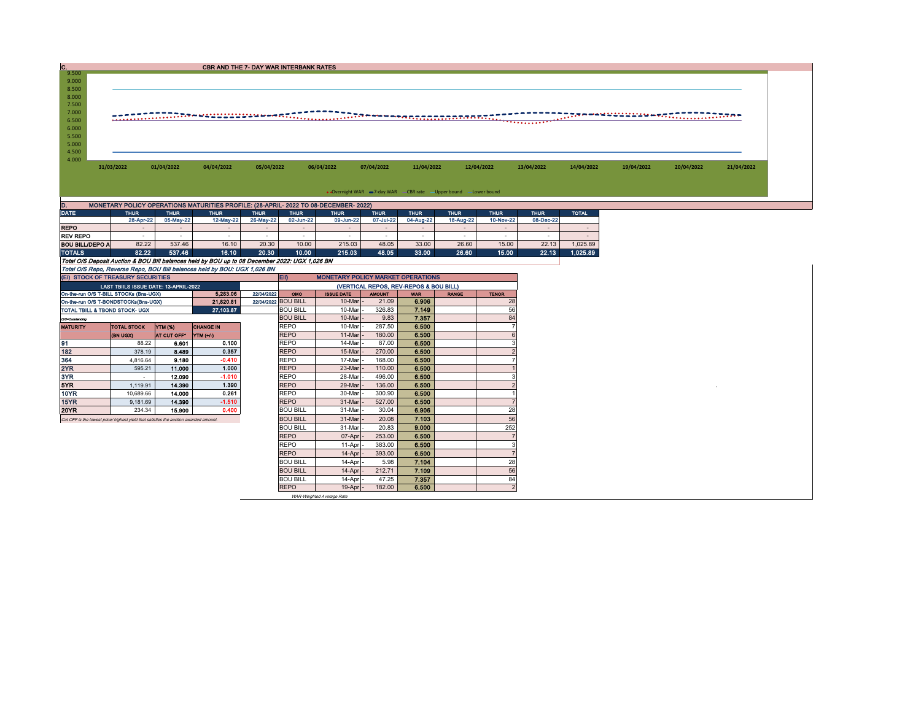| c.                                                                                    |                                        |                          | <b>CBR AND THE 7- DAY WAR INTERBANK RATES</b>                                                  |                     |                                    |                                          |                     |                                                                    |              |                      |                     |              |            |            |            |
|---------------------------------------------------------------------------------------|----------------------------------------|--------------------------|------------------------------------------------------------------------------------------------|---------------------|------------------------------------|------------------------------------------|---------------------|--------------------------------------------------------------------|--------------|----------------------|---------------------|--------------|------------|------------|------------|
| 9.500                                                                                 |                                        |                          |                                                                                                |                     |                                    |                                          |                     |                                                                    |              |                      |                     |              |            |            |            |
| 9.000<br>8.500                                                                        |                                        |                          |                                                                                                |                     |                                    |                                          |                     |                                                                    |              |                      |                     |              |            |            |            |
| 8.000                                                                                 |                                        |                          |                                                                                                |                     |                                    |                                          |                     |                                                                    |              |                      |                     |              |            |            |            |
| 7.500                                                                                 |                                        |                          |                                                                                                |                     |                                    |                                          |                     |                                                                    |              |                      |                     |              |            |            |            |
| 7.000                                                                                 |                                        |                          |                                                                                                |                     |                                    |                                          |                     |                                                                    |              |                      |                     |              |            |            |            |
| 6.500                                                                                 |                                        |                          |                                                                                                |                     |                                    |                                          |                     |                                                                    |              |                      | .                   |              |            |            |            |
| 6.000                                                                                 |                                        |                          |                                                                                                |                     |                                    |                                          |                     |                                                                    |              |                      |                     |              |            |            |            |
| 5.500                                                                                 |                                        |                          |                                                                                                |                     |                                    |                                          |                     |                                                                    |              |                      |                     |              |            |            |            |
| 5.000                                                                                 |                                        |                          |                                                                                                |                     |                                    |                                          |                     |                                                                    |              |                      |                     |              |            |            |            |
| 4.500                                                                                 |                                        |                          |                                                                                                |                     |                                    |                                          |                     |                                                                    |              |                      |                     |              |            |            |            |
| 4.000                                                                                 |                                        |                          |                                                                                                |                     |                                    |                                          |                     |                                                                    |              |                      |                     |              |            |            |            |
|                                                                                       | 31/03/2022                             | 01/04/2022               | 04/04/2022                                                                                     | 05/04/2022          |                                    | 06/04/2022                               | 07/04/2022          | 11/04/2022                                                         |              | 12/04/2022           | 13/04/2022          | 14/04/2022   | 19/04/2022 | 20/04/2022 | 21/04/2022 |
|                                                                                       |                                        |                          |                                                                                                |                     |                                    |                                          |                     |                                                                    |              |                      |                     |              |            |            |            |
|                                                                                       |                                        |                          |                                                                                                |                     |                                    |                                          |                     | • Overnight WAR = 7-day WAR - CBR rate - Upper bound - Lower bound |              |                      |                     |              |            |            |            |
|                                                                                       |                                        |                          |                                                                                                |                     |                                    |                                          |                     |                                                                    |              |                      |                     |              |            |            |            |
| D.                                                                                    |                                        |                          | MONETARY POLICY OPERATIONS MATURITIES PROFILE: (28-APRIL- 2022 TO 08-DECEMBER- 2022)           |                     |                                    |                                          |                     |                                                                    |              |                      |                     |              |            |            |            |
| <b>DATE</b>                                                                           | <b>THUR</b>                            | <b>THUR</b><br>05-May-22 | <b>THUR</b>                                                                                    | <b>THUR</b>         | <b>THUR</b>                        | <b>THUR</b>                              | <b>THUR</b>         | <b>THUR</b>                                                        | <b>THUR</b>  | <b>THUR</b>          | <b>THUR</b>         | <b>TOTAL</b> |            |            |            |
| <b>REPO</b>                                                                           | 28-Apr-22<br>$\sim$                    |                          | 12-May-22                                                                                      | 26-May-22           | 02-Jun-22<br>$\sim$                | 09-Jun-22                                | 07-Jul-22<br>$\sim$ | 04-Aug-22                                                          | 18-Aug-22    | 10-Nov-22            | 08-Dec-22<br>$\sim$ | $\sim$       |            |            |            |
| <b>REV REPO</b>                                                                       | $\sim$                                 | $\sim$                   | $\sim$                                                                                         | $\sim$              | $\sim$                             | $\sim$                                   | $\sim$              | $\sim$                                                             | $\sim$       | $\sim$               | $\sim$              | $\sim$       |            |            |            |
| <b>BOU BILL/DEPO A</b>                                                                | 82.22                                  | 537.46                   | 16.10                                                                                          | 20.30               | 10.00                              | 215.03                                   | 48.05               | 33.00                                                              | 26.60        | 15.00                | 22.13               | 1,025.89     |            |            |            |
| <b>TOTALS</b>                                                                         | 82.22                                  | 537.46                   | 16.10                                                                                          | 20.30               | 10.00                              | 215.03                                   | 48.05               | 33.00                                                              | 26.60        | 15.00                | 22.13               | 1,025.89     |            |            |            |
|                                                                                       |                                        |                          | Total O/S Deposit Auction & BOU Bill balances held by BOU up to 08 December 2022: UGX 1,026 BN |                     |                                    |                                          |                     |                                                                    |              |                      |                     |              |            |            |            |
|                                                                                       |                                        |                          | Total O/S Repo, Reverse Repo, BOU Bill balances held by BOU: UGX 1,026 BN                      |                     |                                    |                                          |                     |                                                                    |              |                      |                     |              |            |            |            |
| (EI) STOCK OF TREASURY SECURITIES                                                     |                                        |                          |                                                                                                |                     | EII)                               | <b>MONETARY POLICY MARKET OPERATIONS</b> |                     |                                                                    |              |                      |                     |              |            |            |            |
|                                                                                       | LAST TBIILS ISSUE DATE: 13-APRIL-2022  |                          |                                                                                                |                     |                                    |                                          |                     | (VERTICAL REPOS, REV-REPOS & BOU BILL)                             |              |                      |                     |              |            |            |            |
|                                                                                       | On-the-run O/S T-BILL STOCKs (Bns-UGX) |                          | 5.283.06                                                                                       | 22/04/2022          | OMO                                | <b>ISSUE DATE</b>                        | <b>AMOUNT</b>       | <b>WAR</b>                                                         | <b>RANGE</b> | <b>TENOR</b>         |                     |              |            |            |            |
| On-the-run O/S T-BONDSTOCKs(Bns-UGX)                                                  |                                        |                          | 21,820.81                                                                                      | 22/04/2022 BOU BILL |                                    | 10-Mar                                   | 21.09               | 6.906                                                              |              | 28                   |                     |              |            |            |            |
| TOTAL TBILL & TBOND STOCK- UGX                                                        |                                        |                          | 27,103.87                                                                                      |                     | <b>BOU BILL</b>                    | 10-Mar                                   | 326.83              | 7.149                                                              |              | 56                   |                     |              |            |            |            |
| O/S-Outstanding                                                                       |                                        |                          |                                                                                                |                     | <b>BOU BILL</b>                    | 10-Mar                                   | 9.83                | 7.357                                                              |              | 84                   |                     |              |            |            |            |
| <b>MATURITY</b>                                                                       | <b>TOTAL STOCK</b>                     | YTM (%)                  | <b>CHANGE IN</b>                                                                               |                     | <b>REPO</b>                        | 10-Mar                                   | 287.50              | 6.500                                                              |              | 7                    |                     |              |            |            |            |
|                                                                                       | (BN UGX)                               | AT CUT OFF*              | YTM (+/-)                                                                                      |                     | <b>REPO</b>                        | 11-Mar                                   | 180.00              | 6,500                                                              |              | 6                    |                     |              |            |            |            |
| 91                                                                                    | 88.22                                  | 6.601                    | 0.100                                                                                          |                     | <b>REPO</b>                        | 14-Mar                                   | 87.00               | 6.500                                                              |              | 3                    |                     |              |            |            |            |
| 182                                                                                   | 378.19                                 | 8.489                    | 0.357                                                                                          |                     | <b>REPO</b>                        | 15-Mar                                   | 270.00              | 6.500                                                              |              |                      |                     |              |            |            |            |
| 364                                                                                   | 4,816.64                               | 9.180                    | $-0.410$                                                                                       |                     | <b>REPO</b>                        | 17-Mar                                   | 168.00              | 6.500                                                              |              | -7                   |                     |              |            |            |            |
| 2YR                                                                                   | 595.21                                 | 11.000                   | 1.000                                                                                          |                     | <b>REPO</b>                        | 23-Mar                                   | 110.00              | 6.500                                                              |              |                      |                     |              |            |            |            |
| 3YR                                                                                   | $\sim$                                 | 12.090                   | $-1.010$                                                                                       |                     | <b>REPO</b>                        | 28-Mar                                   | 496.00              | 6.500                                                              |              |                      |                     |              |            |            |            |
| 5YR                                                                                   | 1,119.91                               | 14.390                   | 1.390                                                                                          |                     | <b>REPO</b>                        | 29-Mar                                   | 136.00              | 6.500                                                              |              |                      |                     |              |            |            |            |
| <b>10YR</b>                                                                           | 10,689.66                              | 14.000                   | 0.261                                                                                          |                     | <b>REPO</b><br><b>REPO</b>         | 30-Mar                                   | 300.90              | 6.500                                                              |              |                      |                     |              |            |            |            |
| 15YR<br>20YR                                                                          | 9,181.69                               | 14.390                   | $-1.510$<br>0.400                                                                              |                     |                                    | 31-Mar                                   | 527.00              | 6.500                                                              |              |                      |                     |              |            |            |            |
|                                                                                       | 234.34                                 | 15.900                   |                                                                                                |                     | <b>BOU BILL</b><br><b>BOU BILL</b> | 31-Mar                                   | 30.04               | 6.906                                                              |              | 28<br>56             |                     |              |            |            |            |
| Cut OFF is the lowest price/ highest yield that satisfies the auction awarded amount. |                                        |                          |                                                                                                |                     |                                    | 31-Mar                                   | 20.08               | 7.103<br>9.000                                                     |              |                      |                     |              |            |            |            |
|                                                                                       |                                        |                          |                                                                                                |                     | <b>BOU BILL</b>                    | 31-Mar                                   | 20.83               |                                                                    |              | 252                  |                     |              |            |            |            |
|                                                                                       |                                        |                          |                                                                                                |                     | <b>REPO</b><br><b>REPO</b>         | 07-Apr                                   | 253.00              | 6.500                                                              |              | 3                    |                     |              |            |            |            |
|                                                                                       |                                        |                          |                                                                                                |                     | <b>REPO</b>                        | 11-Apr                                   | 383.00              | 6.500                                                              |              |                      |                     |              |            |            |            |
|                                                                                       |                                        |                          |                                                                                                |                     |                                    | 14-Apr                                   | 393.00              | 6,500                                                              |              |                      |                     |              |            |            |            |
|                                                                                       |                                        |                          |                                                                                                |                     | <b>BOU BILL</b><br><b>BOU BILL</b> | 14-Apr                                   | 5.98                | 7.104                                                              |              | 28                   |                     |              |            |            |            |
|                                                                                       |                                        |                          |                                                                                                |                     |                                    | 14-Apr                                   | 212.71              | 7.109                                                              |              | 56                   |                     |              |            |            |            |
|                                                                                       |                                        |                          |                                                                                                |                     | <b>BOU BILL</b>                    | 14-Apr                                   | 47.25               | 7.357                                                              |              | 84<br>$\overline{2}$ |                     |              |            |            |            |
|                                                                                       |                                        |                          |                                                                                                |                     | <b>REPO</b>                        | 19-Apr                                   | 182.00              | 6.500                                                              |              |                      |                     |              |            |            |            |

WAR-Weighted Average Rate